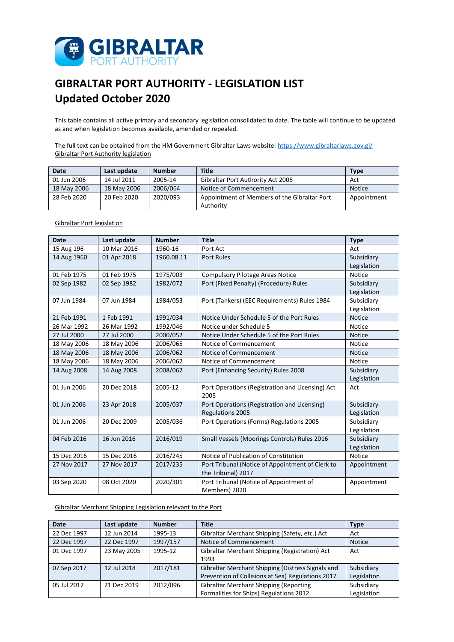

## **GIBRALTAR PORT AUTHORITY - LEGISLATION LIST Updated October 2020**

This table contains all active primary and secondary legislation consolidated to date. The table will continue to be updated as and when legislation becomes available, amended or repealed.

The full text can be obtained from the HM Government Gibraltar Laws website:<https://www.gibraltarlaws.gov.gi/> Gibraltar Port Authority legislation

| Date        | Last update | <b>Number</b> | <b>Title</b>                                 | <b>Type</b>   |
|-------------|-------------|---------------|----------------------------------------------|---------------|
| 01 Jun 2006 | 14 Jul 2011 | 2005-14       | Gibraltar Port Authority Act 2005            | Act           |
| 18 May 2006 | 18 May 2006 | 2006/064      | Notice of Commencement                       | <b>Notice</b> |
| 28 Feb 2020 | 20 Feb 2020 | 2020/093      | Appointment of Members of the Gibraltar Port | Appointment   |
|             |             |               | Authority                                    |               |

## Gibraltar Port legislation

| <b>Date</b> | Last update | <b>Number</b> | <b>Title</b>                                     | <b>Type</b>   |
|-------------|-------------|---------------|--------------------------------------------------|---------------|
| 15 Aug 196  | 10 Mar 2016 | 1960-16       | Port Act                                         | Act           |
| 14 Aug 1960 | 01 Apr 2018 | 1960.08.11    | <b>Port Rules</b>                                | Subsidiary    |
|             |             |               |                                                  | Legislation   |
| 01 Feb 1975 | 01 Feb 1975 | 1975/003      | <b>Compulsory Pilotage Areas Notice</b>          | <b>Notice</b> |
| 02 Sep 1982 | 02 Sep 1982 | 1982/072      | Port (Fixed Penalty) (Procedure) Rules           | Subsidiary    |
|             |             |               |                                                  | Legislation   |
| 07 Jun 1984 | 07 Jun 1984 | 1984/053      | Port (Tankers) (EEC Requirements) Rules 1984     | Subsidiary    |
|             |             |               |                                                  | Legislation   |
| 21 Feb 1991 | 1 Feb 1991  | 1991/034      | Notice Under Schedule 5 of the Port Rules        | <b>Notice</b> |
| 26 Mar 1992 | 26 Mar 1992 | 1992/046      | Notice under Schedule 5                          | Notice        |
| 27 Jul 2000 | 27 Jul 2000 | 2000/052      | Notice Under Schedule 5 of the Port Rules        | <b>Notice</b> |
| 18 May 2006 | 18 May 2006 | 2006/065      | Notice of Commencement                           | Notice        |
| 18 May 2006 | 18 May 2006 | 2006/062      | Notice of Commencement                           | <b>Notice</b> |
| 18 May 2006 | 18 May 2006 | 2006/062      | Notice of Commencement                           | <b>Notice</b> |
| 14 Aug 2008 | 14 Aug 2008 | 2008/062      | Port (Enhancing Security) Rules 2008             | Subsidiary    |
|             |             |               |                                                  | Legislation   |
| 01 Jun 2006 | 20 Dec 2018 | 2005-12       | Port Operations (Registration and Licensing) Act | Act           |
|             |             |               | 2005                                             |               |
| 01 Jun 2006 | 23 Apr 2018 | 2005/037      | Port Operations (Registration and Licensing)     | Subsidiary    |
|             |             |               | <b>Regulations 2005</b>                          | Legislation   |
| 01 Jun 2006 | 20 Dec 2009 | 2005/036      | Port Operations (Forms) Regulations 2005         | Subsidiary    |
|             |             |               |                                                  | Legislation   |
| 04 Feb 2016 | 16 Jun 2016 | 2016/019      | Small Vessels (Moorings Controls) Rules 2016     | Subsidiary    |
|             |             |               |                                                  | Legislation   |
| 15 Dec 2016 | 15 Dec 2016 | 2016/245      | Notice of Publication of Constitution            | Notice        |
| 27 Nov 2017 | 27 Nov 2017 | 2017/235      | Port Tribunal (Notice of Appointment of Clerk to | Appointment   |
|             |             |               | the Tribunal) 2017                               |               |
| 03 Sep 2020 | 08 Oct 2020 | 2020/301      | Port Tribunal (Notice of Appointment of          | Appointment   |
|             |             |               | Members) 2020                                    |               |

Gibraltar Merchant Shipping Legislation relevant to the Port

| <b>Date</b> | Last update | <b>Number</b> | <b>Title</b>                                      | <b>Type</b>   |
|-------------|-------------|---------------|---------------------------------------------------|---------------|
| 22 Dec 1997 | 12 Jun 2014 | 1995-13       | Gibraltar Merchant Shipping (Safety, etc.) Act    | Act           |
| 22 Dec 1997 | 22 Dec 1997 | 1997/157      | Notice of Commencement                            | <b>Notice</b> |
| 01 Dec 1997 | 23 May 2005 | 1995-12       | Gibraltar Merchant Shipping (Registration) Act    | Act           |
|             |             |               | 1993                                              |               |
| 07 Sep 2017 | 12 Jul 2018 | 2017/181      | Gibraltar Merchant Shipping (Distress Signals and | Subsidiary    |
|             |             |               | Prevention of Collisions at Sea) Regulations 2017 | Legislation   |
| 05 Jul 2012 | 21 Dec 2019 | 2012/096      | <b>Gibraltar Merchant Shipping (Reporting</b>     | Subsidiary    |
|             |             |               | Formalities for Ships) Regulations 2012           | Legislation   |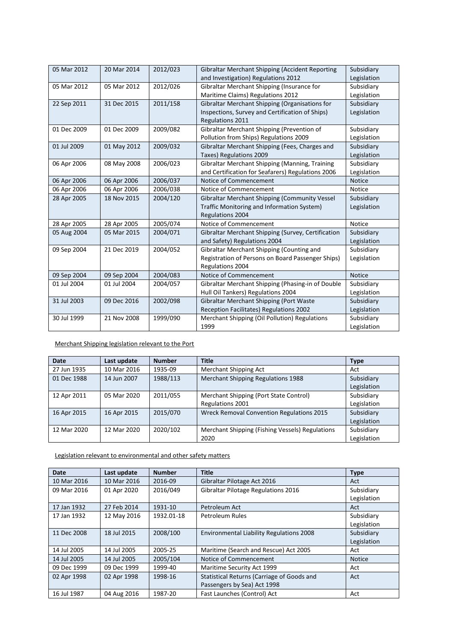| 05 Mar 2012 | 20 Mar 2014 | 2012/023 | <b>Gibraltar Merchant Shipping (Accident Reporting</b><br>and Investigation) Regulations 2012 | Subsidiary<br>Legislation |
|-------------|-------------|----------|-----------------------------------------------------------------------------------------------|---------------------------|
| 05 Mar 2012 | 05 Mar 2012 | 2012/026 | Gibraltar Merchant Shipping (Insurance for                                                    | Subsidiary                |
|             |             |          | Maritime Claims) Regulations 2012                                                             | Legislation               |
| 22 Sep 2011 | 31 Dec 2015 | 2011/158 | Gibraltar Merchant Shipping (Organisations for                                                | Subsidiary                |
|             |             |          | Inspections, Survey and Certification of Ships)                                               | Legislation               |
|             |             |          | Regulations 2011                                                                              |                           |
| 01 Dec 2009 | 01 Dec 2009 | 2009/082 | Gibraltar Merchant Shipping (Prevention of                                                    | Subsidiary                |
|             |             |          | Pollution from Ships) Regulations 2009                                                        | Legislation               |
| 01 Jul 2009 | 01 May 2012 | 2009/032 | Gibraltar Merchant Shipping (Fees, Charges and                                                | Subsidiary                |
|             |             |          | Taxes) Regulations 2009                                                                       | Legislation               |
| 06 Apr 2006 | 08 May 2008 | 2006/023 | Gibraltar Merchant Shipping (Manning, Training                                                | Subsidiary                |
|             |             |          | and Certification for Seafarers) Regulations 2006                                             | Legislation               |
| 06 Apr 2006 | 06 Apr 2006 | 2006/037 | Notice of Commencement                                                                        | <b>Notice</b>             |
| 06 Apr 2006 | 06 Apr 2006 | 2006/038 | Notice of Commencement                                                                        | <b>Notice</b>             |
| 28 Apr 2005 | 18 Nov 2015 | 2004/120 | Gibraltar Merchant Shipping (Community Vessel                                                 | Subsidiary                |
|             |             |          | Traffic Monitoring and Information System)                                                    | Legislation               |
|             |             |          | Regulations 2004                                                                              |                           |
| 28 Apr 2005 | 28 Apr 2005 | 2005/074 | Notice of Commencement                                                                        | <b>Notice</b>             |
| 05 Aug 2004 | 05 Mar 2015 | 2004/071 | Gibraltar Merchant Shipping (Survey, Certification                                            | Subsidiary                |
|             |             |          | and Safety) Regulations 2004                                                                  | Legislation               |
| 09 Sep 2004 | 21 Dec 2019 | 2004/052 | Gibraltar Merchant Shipping (Counting and                                                     | Subsidiary                |
|             |             |          | Registration of Persons on Board Passenger Ships)                                             | Legislation               |
|             |             |          | Regulations 2004                                                                              |                           |
| 09 Sep 2004 | 09 Sep 2004 | 2004/083 | Notice of Commencement                                                                        | <b>Notice</b>             |
| 01 Jul 2004 | 01 Jul 2004 | 2004/057 | Gibraltar Merchant Shipping (Phasing-in of Double                                             | Subsidiary                |
|             |             |          | Hull Oil Tankers) Regulations 2004                                                            | Legislation               |
| 31 Jul 2003 | 09 Dec 2016 | 2002/098 | Gibraltar Merchant Shipping (Port Waste                                                       | Subsidiary                |
|             |             |          | Reception Facilitates) Regulations 2002                                                       | Legislation               |
| 30 Jul 1999 | 21 Nov 2008 | 1999/090 | Merchant Shipping (Oil Pollution) Regulations                                                 | Subsidiary                |
|             |             |          | 1999                                                                                          | Legislation               |

Merchant Shipping legislation relevant to the Port

| <b>Date</b> | Last update | <b>Number</b> | <b>Title</b>                                               | <b>Type</b>               |
|-------------|-------------|---------------|------------------------------------------------------------|---------------------------|
| 27 Jun 1935 | 10 Mar 2016 | 1935-09       | Merchant Shipping Act                                      | Act                       |
| 01 Dec 1988 | 14 Jun 2007 | 1988/113      | <b>Merchant Shipping Regulations 1988</b>                  | Subsidiary<br>Legislation |
| 12 Apr 2011 | 05 Mar 2020 | 2011/055      | Merchant Shipping (Port State Control)<br>Regulations 2001 | Subsidiary<br>Legislation |
| 16 Apr 2015 | 16 Apr 2015 | 2015/070      | <b>Wreck Removal Convention Regulations 2015</b>           | Subsidiary<br>Legislation |
| 12 Mar 2020 | 12 Mar 2020 | 2020/102      | Merchant Shipping (Fishing Vessels) Regulations<br>2020    | Subsidiary<br>Legislation |

Legislation relevant to environmental and other safety matters

| <b>Date</b> | Last update | <b>Number</b> | <b>Title</b>                                    | <b>Type</b>   |
|-------------|-------------|---------------|-------------------------------------------------|---------------|
| 10 Mar 2016 | 10 Mar 2016 | 2016-09       | Gibraltar Pilotage Act 2016                     | Act           |
| 09 Mar 2016 | 01 Apr 2020 | 2016/049      | Gibraltar Pilotage Regulations 2016             | Subsidiary    |
|             |             |               |                                                 | Legislation   |
| 17 Jan 1932 | 27 Feb 2014 | 1931-10       | Petroleum Act                                   | Act           |
| 17 Jan 1932 | 12 May 2016 | 1932.01-18    | <b>Petroleum Rules</b>                          | Subsidiary    |
|             |             |               |                                                 | Legislation   |
| 11 Dec 2008 | 18 Jul 2015 | 2008/100      | <b>Environmental Liability Regulations 2008</b> | Subsidiary    |
|             |             |               |                                                 | Legislation   |
| 14 Jul 2005 | 14 Jul 2005 | 2005-25       | Maritime (Search and Rescue) Act 2005           | Act           |
| 14 Jul 2005 | 14 Jul 2005 | 2005/104      | Notice of Commencement                          | <b>Notice</b> |
| 09 Dec 1999 | 09 Dec 1999 | 1999-40       | Maritime Security Act 1999                      | Act           |
| 02 Apr 1998 | 02 Apr 1998 | 1998-16       | Statistical Returns (Carriage of Goods and      | Act           |
|             |             |               | Passengers by Sea) Act 1998                     |               |
| 16 Jul 1987 | 04 Aug 2016 | 1987-20       | Fast Launches (Control) Act                     | Act           |